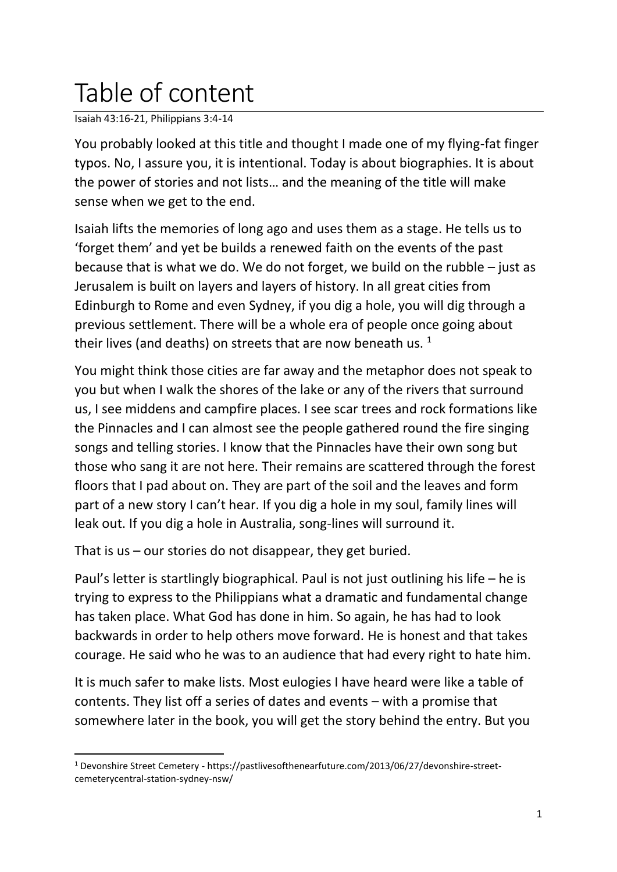## Table of content

Isaiah 43:16-21, Philippians 3:4-14

You probably looked at this title and thought I made one of my flying-fat finger typos. No, I assure you, it is intentional. Today is about biographies. It is about the power of stories and not lists… and the meaning of the title will make sense when we get to the end.

Isaiah lifts the memories of long ago and uses them as a stage. He tells us to 'forget them' and yet be builds a renewed faith on the events of the past because that is what we do. We do not forget, we build on the rubble – just as Jerusalem is built on layers and layers of history. In all great cities from Edinburgh to Rome and even Sydney, if you dig a hole, you will dig through a previous settlement. There will be a whole era of people once going about their lives (and deaths) on streets that are now beneath us.  $1$ 

You might think those cities are far away and the metaphor does not speak to you but when I walk the shores of the lake or any of the rivers that surround us, I see middens and campfire places. I see scar trees and rock formations like the Pinnacles and I can almost see the people gathered round the fire singing songs and telling stories. I know that the Pinnacles have their own song but those who sang it are not here. Their remains are scattered through the forest floors that I pad about on. They are part of the soil and the leaves and form part of a new story I can't hear. If you dig a hole in my soul, family lines will leak out. If you dig a hole in Australia, song-lines will surround it.

That is us – our stories do not disappear, they get buried.

Paul's letter is startlingly biographical. Paul is not just outlining his life – he is trying to express to the Philippians what a dramatic and fundamental change has taken place. What God has done in him. So again, he has had to look backwards in order to help others move forward. He is honest and that takes courage. He said who he was to an audience that had every right to hate him.

It is much safer to make lists. Most eulogies I have heard were like a table of contents. They list off a series of dates and events – with a promise that somewhere later in the book, you will get the story behind the entry. But you

<sup>1</sup> Devonshire Street Cemetery - https://pastlivesofthenearfuture.com/2013/06/27/devonshire-streetcemeterycentral-station-sydney-nsw/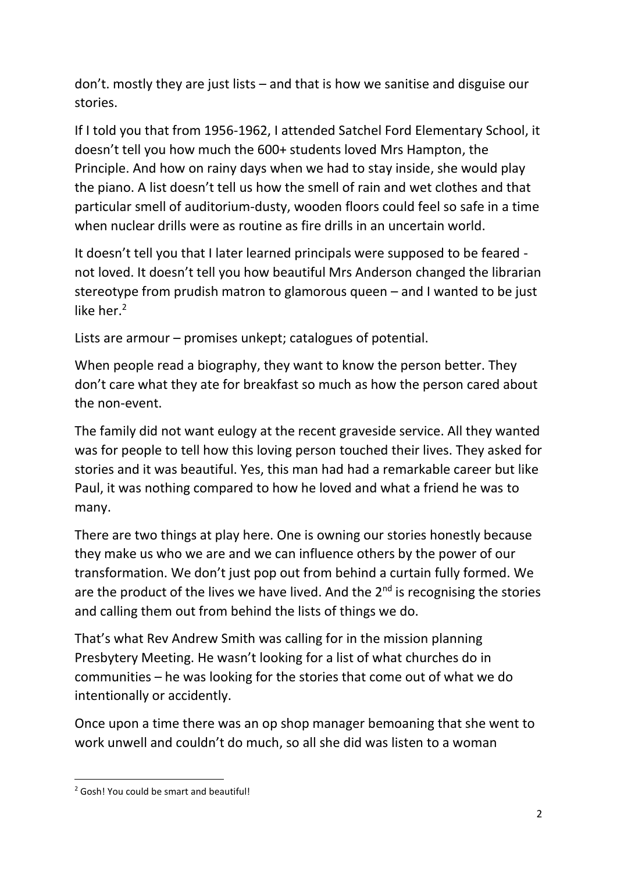don't. mostly they are just lists – and that is how we sanitise and disguise our stories.

If I told you that from 1956-1962, I attended Satchel Ford Elementary School, it doesn't tell you how much the 600+ students loved Mrs Hampton, the Principle. And how on rainy days when we had to stay inside, she would play the piano. A list doesn't tell us how the smell of rain and wet clothes and that particular smell of auditorium-dusty, wooden floors could feel so safe in a time when nuclear drills were as routine as fire drills in an uncertain world.

It doesn't tell you that I later learned principals were supposed to be feared not loved. It doesn't tell you how beautiful Mrs Anderson changed the librarian stereotype from prudish matron to glamorous queen – and I wanted to be just like her. $2$ 

Lists are armour – promises unkept; catalogues of potential.

When people read a biography, they want to know the person better. They don't care what they ate for breakfast so much as how the person cared about the non-event.

The family did not want eulogy at the recent graveside service. All they wanted was for people to tell how this loving person touched their lives. They asked for stories and it was beautiful. Yes, this man had had a remarkable career but like Paul, it was nothing compared to how he loved and what a friend he was to many.

There are two things at play here. One is owning our stories honestly because they make us who we are and we can influence others by the power of our transformation. We don't just pop out from behind a curtain fully formed. We are the product of the lives we have lived. And the  $2<sup>nd</sup>$  is recognising the stories and calling them out from behind the lists of things we do.

That's what Rev Andrew Smith was calling for in the mission planning Presbytery Meeting. He wasn't looking for a list of what churches do in communities – he was looking for the stories that come out of what we do intentionally or accidently.

Once upon a time there was an op shop manager bemoaning that she went to work unwell and couldn't do much, so all she did was listen to a woman

<sup>2</sup> Gosh! You could be smart and beautiful!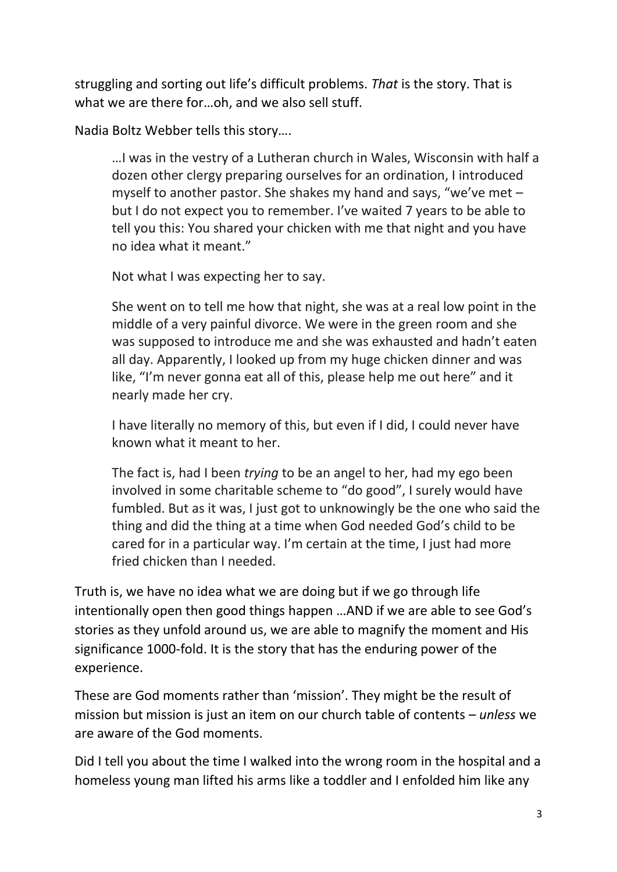struggling and sorting out life's difficult problems. *That* is the story. That is what we are there for…oh, and we also sell stuff.

Nadia Boltz Webber tells this story….

…I was in the vestry of a Lutheran church in Wales, Wisconsin with half a dozen other clergy preparing ourselves for an ordination, I introduced myself to another pastor. She shakes my hand and says, "we've met – but I do not expect you to remember. I've waited 7 years to be able to tell you this: You shared your chicken with me that night and you have no idea what it meant."

Not what I was expecting her to say.

She went on to tell me how that night, she was at a real low point in the middle of a very painful divorce. We were in the green room and she was supposed to introduce me and she was exhausted and hadn't eaten all day. Apparently, I looked up from my huge chicken dinner and was like, "I'm never gonna eat all of this, please help me out here" and it nearly made her cry.

I have literally no memory of this, but even if I did, I could never have known what it meant to her.

The fact is, had I been *trying* to be an angel to her, had my ego been involved in some charitable scheme to "do good", I surely would have fumbled. But as it was, I just got to unknowingly be the one who said the thing and did the thing at a time when God needed God's child to be cared for in a particular way. I'm certain at the time, I just had more fried chicken than I needed.

Truth is, we have no idea what we are doing but if we go through life intentionally open then good things happen …AND if we are able to see God's stories as they unfold around us, we are able to magnify the moment and His significance 1000-fold. It is the story that has the enduring power of the experience.

These are God moments rather than 'mission'. They might be the result of mission but mission is just an item on our church table of contents – *unless* we are aware of the God moments.

Did I tell you about the time I walked into the wrong room in the hospital and a homeless young man lifted his arms like a toddler and I enfolded him like any